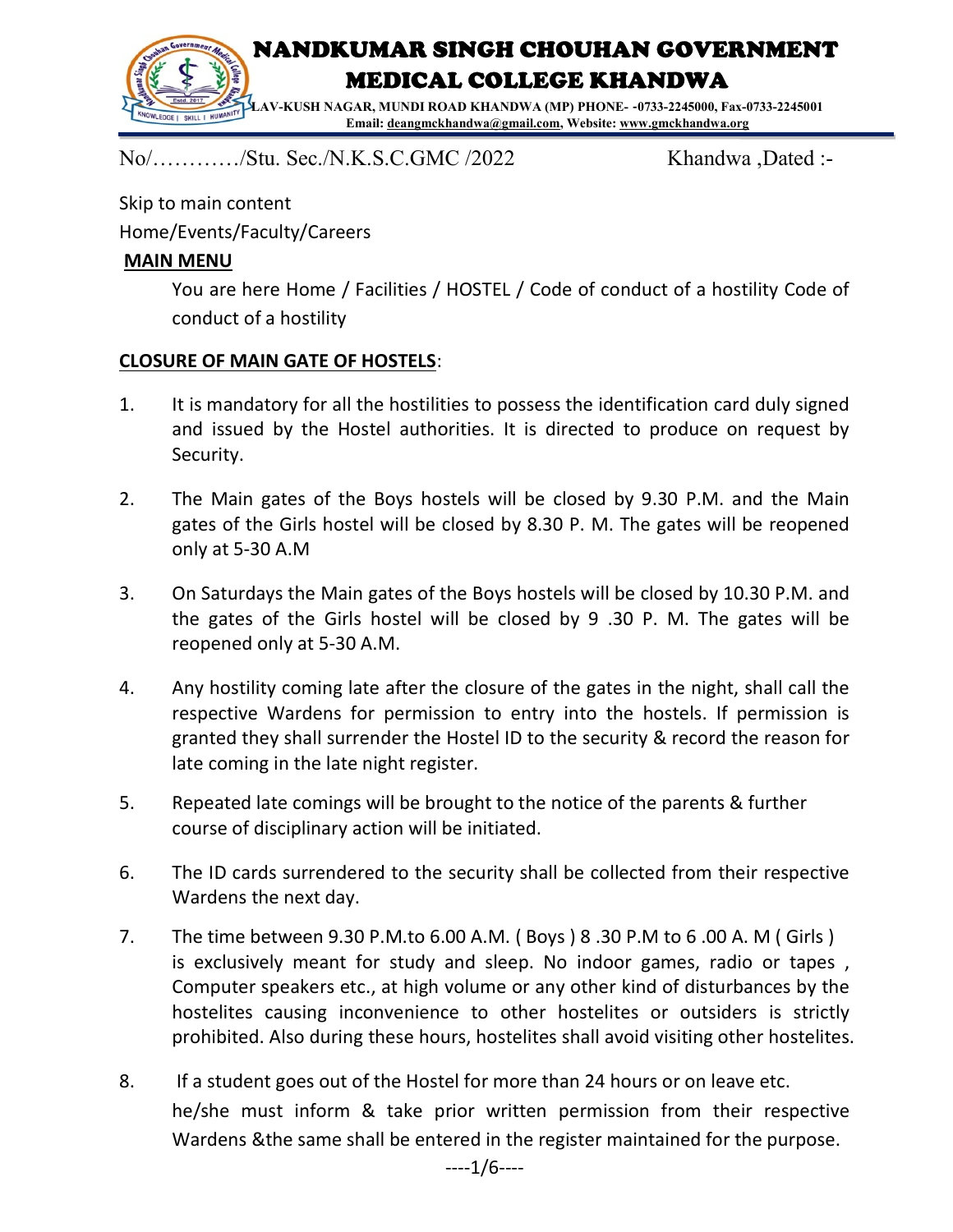

No/…………/Stu. Sec./N.K.S.C.GMC /2022 Khandwa ,Dated :-

Skip to main content Home/Events/Faculty/Careers

#### MAIN MENU

You are here Home / Facilities / HOSTEL / Code of conduct of a hostility Code of conduct of a hostility

#### CLOSURE OF MAIN GATE OF HOSTELS:

- 1. It is mandatory for all the hostilities to possess the identification card duly signed and issued by the Hostel authorities. It is directed to produce on request by Security.
- 2. The Main gates of the Boys hostels will be closed by 9.30 P.M. and the Main gates of the Girls hostel will be closed by 8.30 P. M. The gates will be reopened only at 5-30 A.M
- 3. On Saturdays the Main gates of the Boys hostels will be closed by 10.30 P.M. and the gates of the Girls hostel will be closed by 9 .30 P. M. The gates will be reopened only at 5-30 A.M.
- 4. Any hostility coming late after the closure of the gates in the night, shall call the respective Wardens for permission to entry into the hostels. If permission is granted they shall surrender the Hostel ID to the security & record the reason for late coming in the late night register.
- 5. Repeated late comings will be brought to the notice of the parents & further course of disciplinary action will be initiated.
- 6. The ID cards surrendered to the security shall be collected from their respective Wardens the next day.
- 7. The time between 9.30 P.M.to 6.00 A.M. ( Boys ) 8 .30 P.M to 6 .00 A. M ( Girls ) is exclusively meant for study and sleep. No indoor games, radio or tapes , Computer speakers etc., at high volume or any other kind of disturbances by the hostelites causing inconvenience to other hostelites or outsiders is strictly prohibited. Also during these hours, hostelites shall avoid visiting other hostelites.
- 8. If a student goes out of the Hostel for more than 24 hours or on leave etc. he/she must inform & take prior written permission from their respective Wardens &the same shall be entered in the register maintained for the purpose.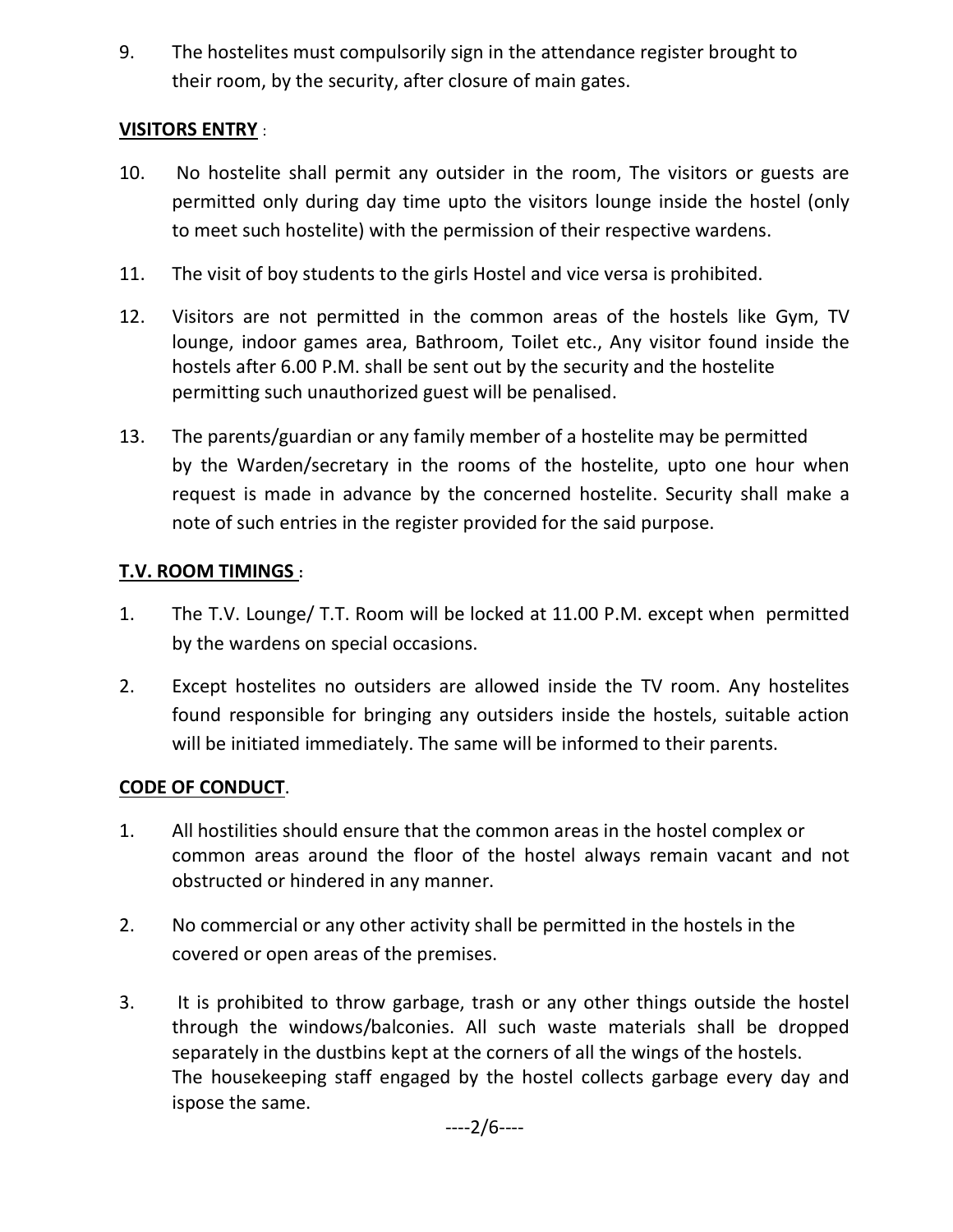9. The hostelites must compulsorily sign in the attendance register brought to their room, by the security, after closure of main gates.

## VISITORS ENTRY :

- 10. No hostelite shall permit any outsider in the room, The visitors or guests are permitted only during day time upto the visitors lounge inside the hostel (only to meet such hostelite) with the permission of their respective wardens.
- 11. The visit of boy students to the girls Hostel and vice versa is prohibited.
- 12. Visitors are not permitted in the common areas of the hostels like Gym, TV lounge, indoor games area, Bathroom, Toilet etc., Any visitor found inside the hostels after 6.00 P.M. shall be sent out by the security and the hostelite permitting such unauthorized guest will be penalised.
- 13. The parents/guardian or any family member of a hostelite may be permitted by the Warden/secretary in the rooms of the hostelite, upto one hour when request is made in advance by the concerned hostelite. Security shall make a note of such entries in the register provided for the said purpose.

# T.V. ROOM TIMINGS :

- 1. The T.V. Lounge/ T.T. Room will be locked at 11.00 P.M. except when permitted by the wardens on special occasions.
- 2. Except hostelites no outsiders are allowed inside the TV room. Any hostelites found responsible for bringing any outsiders inside the hostels, suitable action will be initiated immediately. The same will be informed to their parents.

# CODE OF CONDUCT.

- 1. All hostilities should ensure that the common areas in the hostel complex or common areas around the floor of the hostel always remain vacant and not obstructed or hindered in any manner.
- 2. No commercial or any other activity shall be permitted in the hostels in the covered or open areas of the premises.
- 3. It is prohibited to throw garbage, trash or any other things outside the hostel through the windows/balconies. All such waste materials shall be dropped separately in the dustbins kept at the corners of all the wings of the hostels. The housekeeping staff engaged by the hostel collects garbage every day and ispose the same.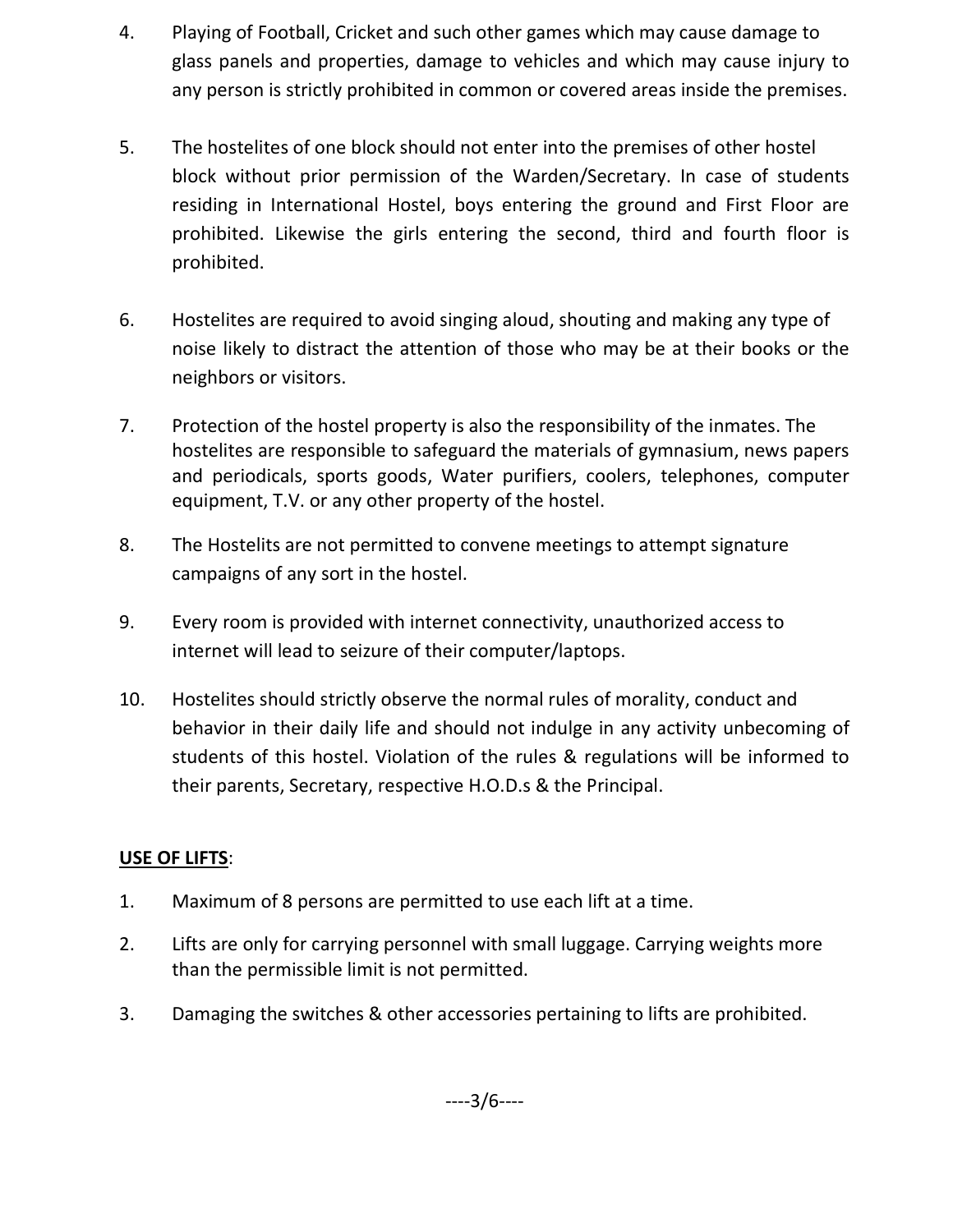- 4. Playing of Football, Cricket and such other games which may cause damage to glass panels and properties, damage to vehicles and which may cause injury to any person is strictly prohibited in common or covered areas inside the premises.
- 5. The hostelites of one block should not enter into the premises of other hostel block without prior permission of the Warden/Secretary. In case of students residing in International Hostel, boys entering the ground and First Floor are prohibited. Likewise the girls entering the second, third and fourth floor is prohibited.
- 6. Hostelites are required to avoid singing aloud, shouting and making any type of noise likely to distract the attention of those who may be at their books or the neighbors or visitors.
- 7. Protection of the hostel property is also the responsibility of the inmates. The hostelites are responsible to safeguard the materials of gymnasium, news papers and periodicals, sports goods, Water purifiers, coolers, telephones, computer equipment, T.V. or any other property of the hostel.
- 8. The Hostelits are not permitted to convene meetings to attempt signature campaigns of any sort in the hostel.
- 9. Every room is provided with internet connectivity, unauthorized access to internet will lead to seizure of their computer/laptops.
- 10. Hostelites should strictly observe the normal rules of morality, conduct and behavior in their daily life and should not indulge in any activity unbecoming of students of this hostel. Violation of the rules & regulations will be informed to their parents, Secretary, respective H.O.D.s & the Principal.

## USE OF LIFTS:

- 1. Maximum of 8 persons are permitted to use each lift at a time.
- 2. Lifts are only for carrying personnel with small luggage. Carrying weights more than the permissible limit is not permitted.
- 3. Damaging the switches & other accessories pertaining to lifts are prohibited.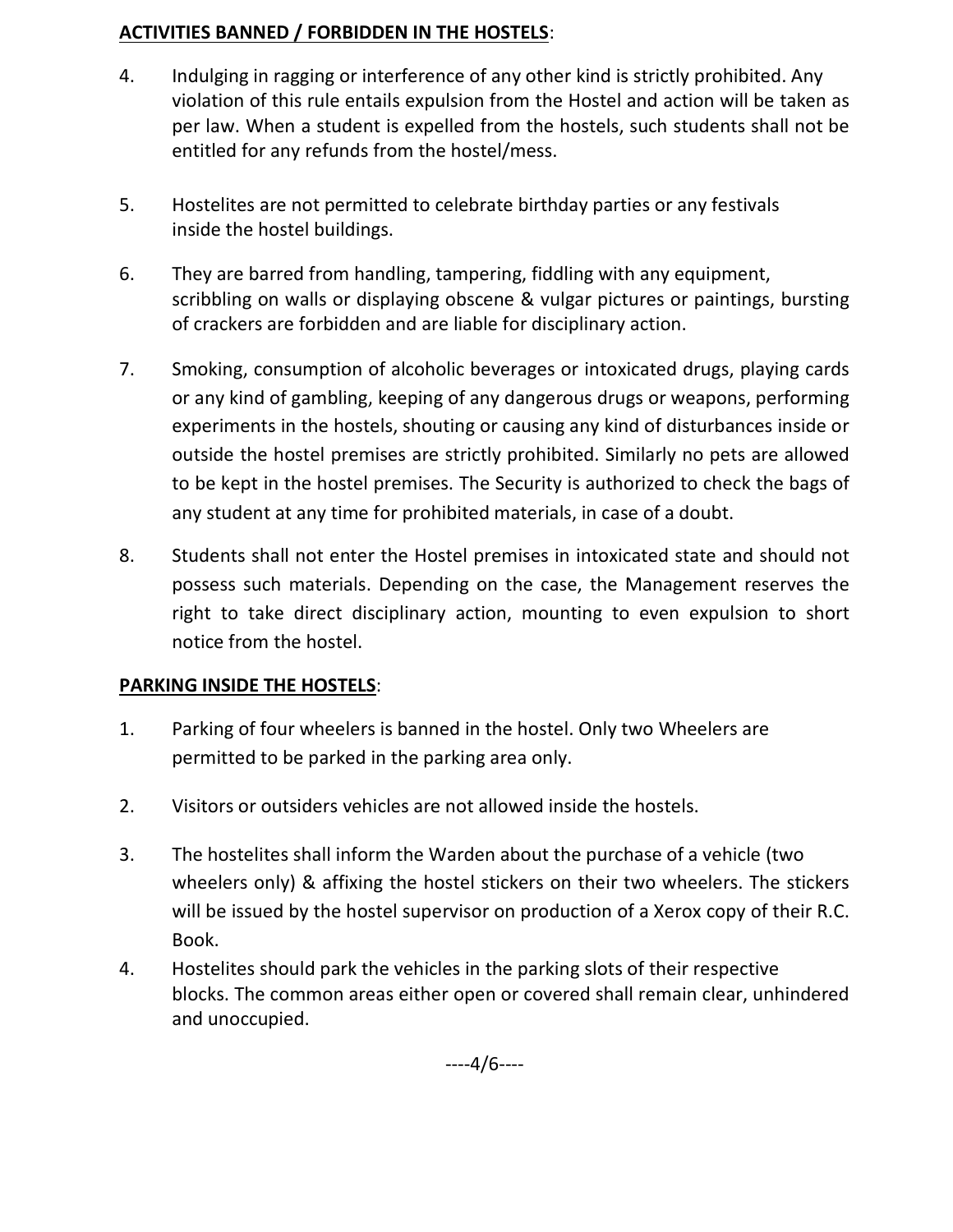### ACTIVITIES BANNED / FORBIDDEN IN THE HOSTELS:

- 4. Indulging in ragging or interference of any other kind is strictly prohibited. Any violation of this rule entails expulsion from the Hostel and action will be taken as per law. When a student is expelled from the hostels, such students shall not be entitled for any refunds from the hostel/mess.
- 5. Hostelites are not permitted to celebrate birthday parties or any festivals inside the hostel buildings.
- 6. They are barred from handling, tampering, fiddling with any equipment, scribbling on walls or displaying obscene & vulgar pictures or paintings, bursting of crackers are forbidden and are liable for disciplinary action.
- 7. Smoking, consumption of alcoholic beverages or intoxicated drugs, playing cards or any kind of gambling, keeping of any dangerous drugs or weapons, performing experiments in the hostels, shouting or causing any kind of disturbances inside or outside the hostel premises are strictly prohibited. Similarly no pets are allowed to be kept in the hostel premises. The Security is authorized to check the bags of any student at any time for prohibited materials, in case of a doubt.
- 8. Students shall not enter the Hostel premises in intoxicated state and should not possess such materials. Depending on the case, the Management reserves the right to take direct disciplinary action, mounting to even expulsion to short notice from the hostel.

## PARKING INSIDE THE HOSTELS:

- 1. Parking of four wheelers is banned in the hostel. Only two Wheelers are permitted to be parked in the parking area only.
- 2. Visitors or outsiders vehicles are not allowed inside the hostels.
- 3. The hostelites shall inform the Warden about the purchase of a vehicle (two wheelers only) & affixing the hostel stickers on their two wheelers. The stickers will be issued by the hostel supervisor on production of a Xerox copy of their R.C. Book.
- 4. Hostelites should park the vehicles in the parking slots of their respective blocks. The common areas either open or covered shall remain clear, unhindered and unoccupied.

----4/6----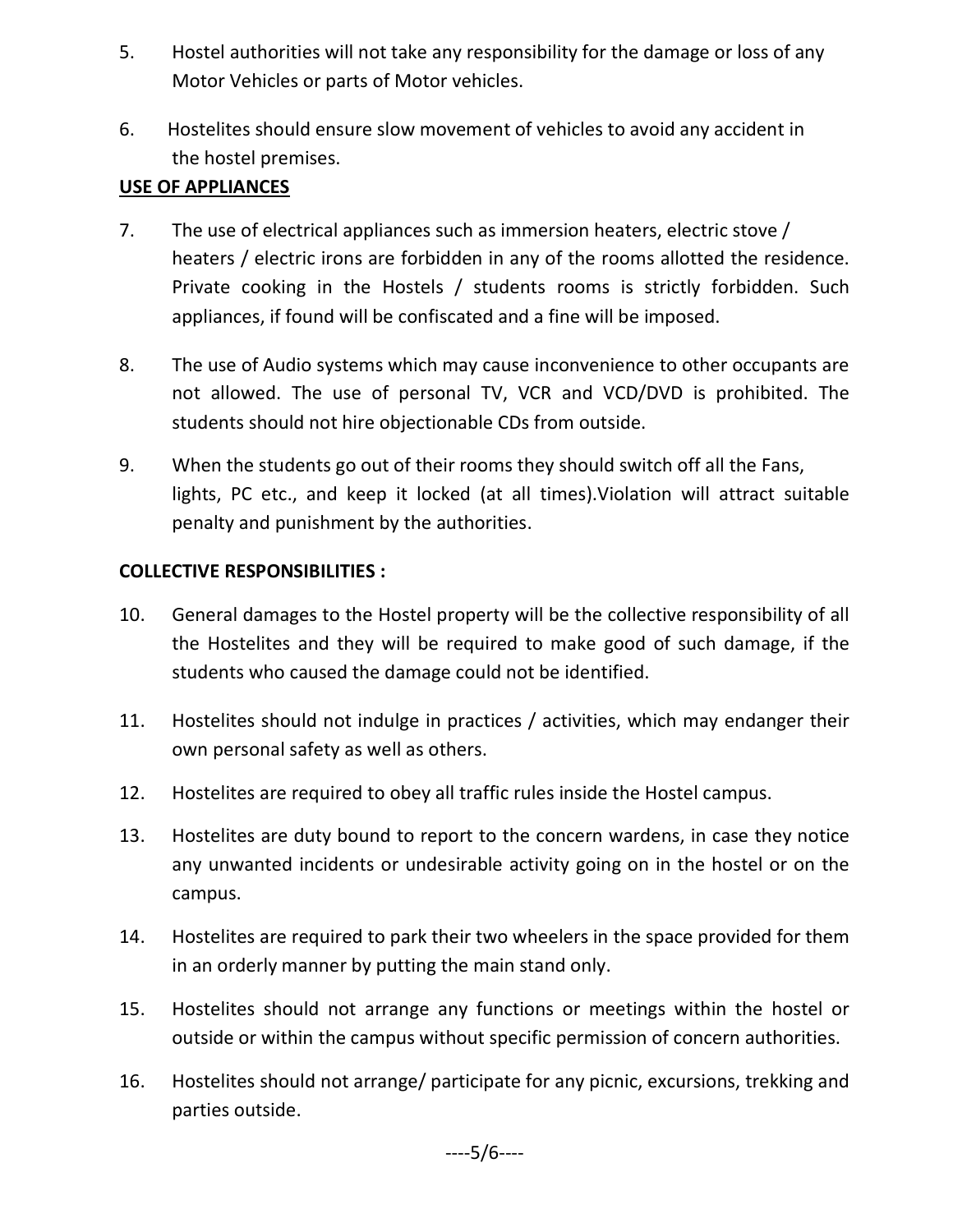- 5. Hostel authorities will not take any responsibility for the damage or loss of any Motor Vehicles or parts of Motor vehicles.
- 6. Hostelites should ensure slow movement of vehicles to avoid any accident in the hostel premises.

### USE OF APPLIANCES

- 7. The use of electrical appliances such as immersion heaters, electric stove / heaters / electric irons are forbidden in any of the rooms allotted the residence. Private cooking in the Hostels / students rooms is strictly forbidden. Such appliances, if found will be confiscated and a fine will be imposed.
- 8. The use of Audio systems which may cause inconvenience to other occupants are not allowed. The use of personal TV, VCR and VCD/DVD is prohibited. The students should not hire objectionable CDs from outside.
- 9. When the students go out of their rooms they should switch off all the Fans, lights, PC etc., and keep it locked (at all times).Violation will attract suitable penalty and punishment by the authorities.

### COLLECTIVE RESPONSIBILITIES :

- 10. General damages to the Hostel property will be the collective responsibility of all the Hostelites and they will be required to make good of such damage, if the students who caused the damage could not be identified.
- 11. Hostelites should not indulge in practices / activities, which may endanger their own personal safety as well as others.
- 12. Hostelites are required to obey all traffic rules inside the Hostel campus.
- 13. Hostelites are duty bound to report to the concern wardens, in case they notice any unwanted incidents or undesirable activity going on in the hostel or on the campus.
- 14. Hostelites are required to park their two wheelers in the space provided for them in an orderly manner by putting the main stand only.
- 15. Hostelites should not arrange any functions or meetings within the hostel or outside or within the campus without specific permission of concern authorities.
- 16. Hostelites should not arrange/ participate for any picnic, excursions, trekking and parties outside.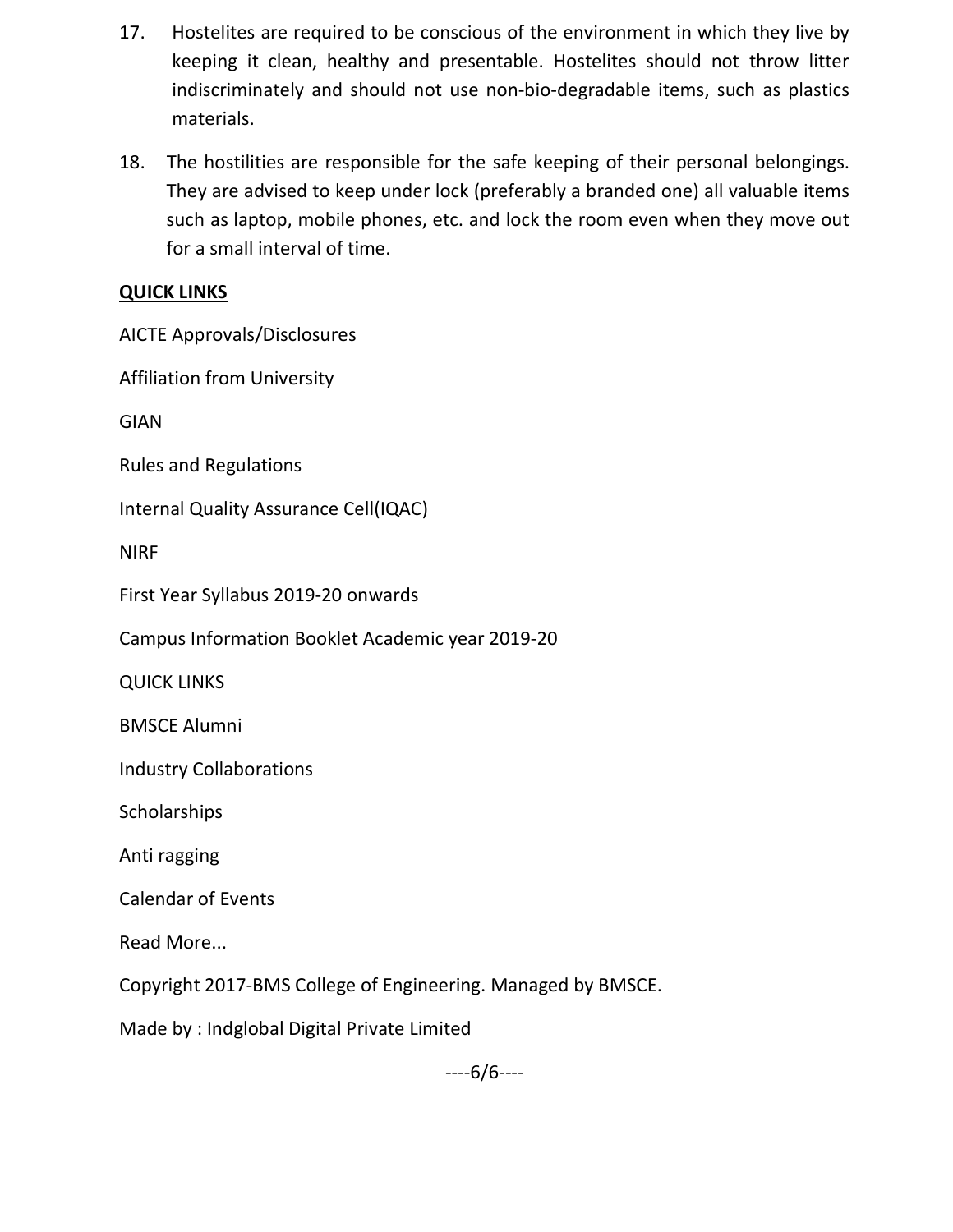- 17. Hostelites are required to be conscious of the environment in which they live by keeping it clean, healthy and presentable. Hostelites should not throw litter indiscriminately and should not use non-bio-degradable items, such as plastics materials.
- 18. The hostilities are responsible for the safe keeping of their personal belongings. They are advised to keep under lock (preferably a branded one) all valuable items such as laptop, mobile phones, etc. and lock the room even when they move out for a small interval of time.

## QUICK LINKS

AICTE Approvals/Disclosures

Affiliation from University

GIAN

Rules and Regulations

Internal Quality Assurance Cell(IQAC)

NIRF

First Year Syllabus 2019-20 onwards

Campus Information Booklet Academic year 2019-20

QUICK LINKS

BMSCE Alumni

Industry Collaborations

Scholarships

Anti ragging

Calendar of Events

Read More...

Copyright 2017-BMS College of Engineering. Managed by BMSCE.

Made by : Indglobal Digital Private Limited

----6/6----